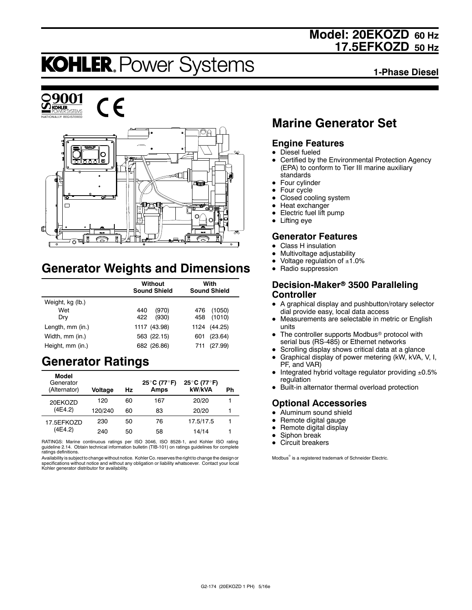## **Model: 20EKOZD 60 Hz 17.5EFKOZD 50 Hz**

# **KOHLER. Power Systems**

**1-Phase Diesel**



C E



## **Generator Weights and Dimensions**

|                  | Without<br><b>Sound Shield</b> | With<br><b>Sound Shield</b> |  |
|------------------|--------------------------------|-----------------------------|--|
| Weight, kg (lb.) |                                |                             |  |
| Wet              | (970)<br>440                   | (1050)<br>476               |  |
| Dry              | 422<br>(930)                   | (1010)<br>458               |  |
| Length, mm (in.) | 1117 (43.98)                   | 1124 (44.25)                |  |
| Width, mm (in.)  | 563 (22.15)                    | (23.64)<br>601              |  |
| Height, mm (in.) | 682 (26.86)                    | (27.99)<br>711              |  |

## **Generator Ratings**

| Model<br>Generator<br>(Alternator) | Voltage | Hz | 25°C (77°F)<br>Amps | 25°C (77°F)<br>kW/kVA | Ph |
|------------------------------------|---------|----|---------------------|-----------------------|----|
| 20EKOZD                            | 120     | 60 | 167                 | 20/20                 |    |
| (4E4.2)                            | 120/240 | 60 | 83                  | 20/20                 | 1  |
| 17.5EFKOZD                         | 230     | 50 | 76                  | 17.5/17.5             |    |
| (4E4.2)                            | 240     | 50 | 58                  | 14/14                 |    |

RATINGS: Marine continuous ratings per ISO 3046, ISO 8528-1, and Kohler ISO rating guideline 2.14. Obtain technical information bulletin (TIB-101) on ratings guidelines for complete ratings definitions.

Availability is subject to change without notice. Kohler Co. reserves the right to change the design or<br>specifications without notice and without any obligation or liability whatsoever. Contact your local<br>Kohler generator

## **Marine Generator Set**

### **Engine Features**

- $\bullet$  Diesel fueled
- Certified by the Environmental Protection Agency (EPA) to conform to Tier III marine auxiliary standards
- $\bullet$  Four cylinder
- $\bullet$  Four cycle
- Closed cooling system
- $\bullet$  Heat exchanger
- Electric fuel lift pump
- $\bullet$  Lifting eye

### **Generator Features**

- Class H insulation
- Multivoltage adjustability
- Voltage regulation of  $±1.0%$
- Radio suppression

#### **Decision-Maker<sup>®</sup> 3500 Paralleling Controller**

- A graphical display and pushbutton/rotary selector dial provide easy, local data access
- Measurements are selectable in metric or English units
- The controller supports Modbus<sup>®</sup> protocol with serial bus (RS-485) or Ethernet networks
- Scrolling display shows critical data at a glance
- $\bullet$  Graphical display of power metering (kW, kVA, V, I, PF, and VAR)
- $\bullet$  Integrated hybrid voltage regulator providing  $\pm 0.5\%$ regulation
- Built-in alternator thermal overload protection

### **Optional Accessories**

- $\bullet$  Aluminum sound shield
- $\bullet$  Remote digital gauge
- $\bullet$  Remote digital display
- Siphon break
- Circuit breakers

Modbus<sup>®</sup> is a registered trademark of Schneider Electric.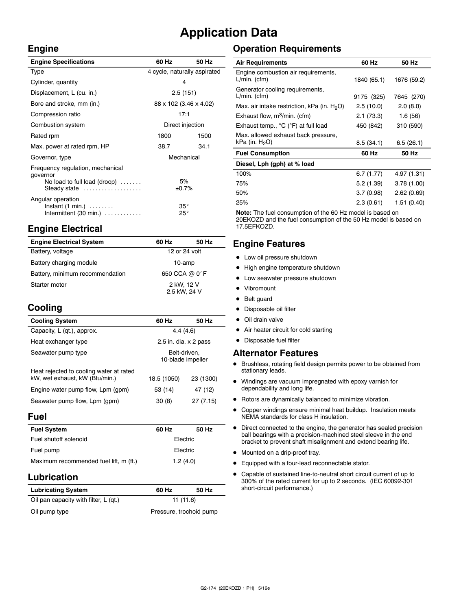## **Application Data**

 $\ddot{\phantom{a}}$ 

#### **Engine**

| <b>Engine Specifications</b>                                                                 | 60 Hz                        | 50 Hz |
|----------------------------------------------------------------------------------------------|------------------------------|-------|
| Type                                                                                         | 4 cycle, naturally aspirated |       |
| Cylinder, quantity                                                                           | 4                            |       |
| Displacement, L (cu. in.)                                                                    | 2.5(151)                     |       |
| Bore and stroke, mm (in.)                                                                    | 88 x 102 (3.46 x 4.02)       |       |
| Compression ratio                                                                            | 17:1                         |       |
| Combustion system                                                                            | Direct injection             |       |
| Rated rpm                                                                                    | 1800                         | 1500  |
| Max. power at rated rpm, HP                                                                  | 38.7                         | 34.1  |
| Governor, type                                                                               | Mechanical                   |       |
| Frequency regulation, mechanical<br>governor<br>No load to full load (droop)<br>Steady state | 5%<br>±0.7%                  |       |
| Angular operation<br>$Instant (1 min.) \ldots \ldots$<br>Intermittent $(30 \text{ min.})$    | $35^\circ$<br>$25^{\circ}$   |       |

## **Engine Electrical**

| <b>Engine Electrical System</b> | 60 Hz                      | 50 Hz |
|---------------------------------|----------------------------|-------|
| Battery, voltage                | 12 or 24 volt              |       |
| Battery charging module         | 10-amp                     |       |
| Battery, minimum recommendation | 650 CCA @ 0°F              |       |
| Starter motor                   | 2 kW, 12 V<br>2.5 kW, 24 V |       |

## **Cooling**

| <b>Cooling System</b>                                                     | 60 Hz                             | 50 Hz     |
|---------------------------------------------------------------------------|-----------------------------------|-----------|
| Capacity, L (qt.), approx.                                                | 4.4(4.6)                          |           |
| Heat exchanger type                                                       | 2.5 in. dia. $\times$ 2 pass      |           |
| Seawater pump type                                                        | Belt-driven.<br>10-blade impeller |           |
| Heat rejected to cooling water at rated<br>kW, wet exhaust, kW (Btu/min.) | 18.5 (1050)                       | 23 (1300) |
| Engine water pump flow, Lpm (gpm)                                         | 53 (14)                           | 47 (12)   |
| Seawater pump flow, Lpm (gpm)                                             | 30(8)                             | 27 (7.15) |

#### **Fuel**

| <b>Fuel System</b>                     | 60 Hz    | 50 Hz |  |
|----------------------------------------|----------|-------|--|
| Fuel shutoff solenoid                  | Electric |       |  |
| Fuel pump                              | Electric |       |  |
| Maximum recommended fuel lift, m (ft.) | 1.2(4.0) |       |  |

### **Lubrication**

| <b>Lubricating System</b>             | 60 Hz                   | 50 Hz |  |
|---------------------------------------|-------------------------|-------|--|
| Oil pan capacity with filter, L (qt.) | 11 (11.6)               |       |  |
| Oil pump type                         | Pressure, trochoid pump |       |  |

## **Operation Requirements**

| <b>Air Requirements</b>                                  | 60 Hz       | 50 Hz       |
|----------------------------------------------------------|-------------|-------------|
| Engine combustion air requirements,<br>$L/min.$ (cfm)    | 1840 (65.1) | 1676 (59.2) |
| Generator cooling requirements,<br>$L/min.$ (cfm)        | 9175 (325)  | 7645 (270)  |
| Max. air intake restriction, kPa (in. $H_2O$ )           | 2.5(10.0)   | 2.0(8.0)    |
| Exhaust flow, $m^3/m$ in. (cfm)                          | 2.1(73.3)   | 1.6(56)     |
| Exhaust temp., °C (°F) at full load                      | 450 (842)   | 310 (590)   |
| Max. allowed exhaust back pressure,<br>kPa (in. $H_2O$ ) | 8.5(34.1)   | 6.5(26.1)   |
| <b>Fuel Consumption</b>                                  | 60 Hz       | 50 Hz       |
| Diesel, Lph (gph) at % load                              |             |             |
| 100%                                                     | 6.7(1.77)   | 4.97 (1.31) |
| 75%                                                      | 5.2(1.39)   | 3.78(1.00)  |
| 50%                                                      | 3.7(0.98)   | 2.62(0.69)  |
| 25%                                                      | 2.3(0.61)   | 1.51 (0.40) |

**Note:** The fuel consumption of the 60 Hz model is based on 20EKOZD and the fuel consumption of the 50 Hz model is based on 17.5EFKOZD.

## **Engine Features**

- $\bullet$  Low oil pressure shutdown
- High engine temperature shutdown
- Low seawater pressure shutdown
- Vibromount
- Belt guard
- Disposable oil filter
- $\bullet$  Oil drain valve
- Air heater circuit for cold starting
- $\bullet$  Disposable fuel filter

#### **Alternator Features**

- $\bullet$  Brushless, rotating field design permits power to be obtained from stationary leads.
- $\bullet$  Windings are vacuum impregnated with epoxy varnish for dependability and long life.
- $\bullet$  Rotors are dynamically balanced to minimize vibration.
- Copper windings ensure minimal heat buildup. Insulation meets NEMA standards for class H insulation.
- $\bullet$  Direct connected to the engine, the generator has sealed precision ball bearings with a precision-machined steel sleeve in the end bracket to prevent shaft misalignment and extend bearing life.
- $\bullet$  Mounted on a drip-proof tray.
- Equipped with a four-lead reconnectable stator.
- $\bullet$  Capable of sustained line-to-neutral short circuit current of up to 300% of the rated current for up to 2 seconds. (IEC 60092-301 short-circuit performance.)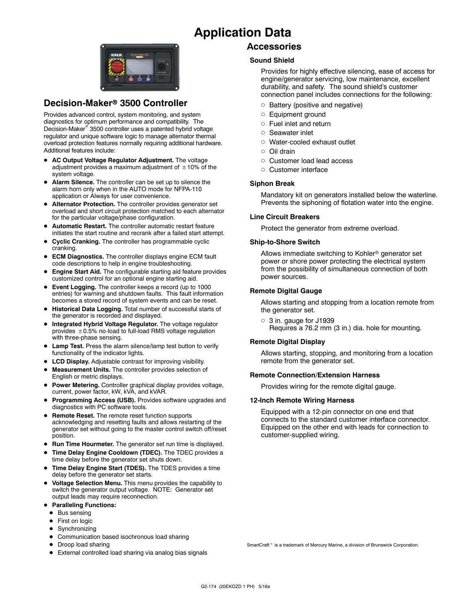## **Application Data**



### **Decision-Maker<sup>®</sup> 3500 Controller**

Provides advanced control, system monitoring, and system diagnostics for optimum performance and compatibility. The Decision-Maker<sup>®</sup> 3500 controller uses a patented hybrid voltage regulator and unique software logic to manage alternator thermal overload protection features normally requiring additional hardware. Additional features include:

- AC Output Voltage Regulator Adjustment. The voltage adjustment provides a maximum adjustment of  $\pm 10\%$  of the system voltage.
- Alarm Silence. The controller can be set up to silence the alarm horn only when in the AUTO mode for NFPA-110 application or Always for user convenience.
- $\bullet$  Alternator Protection. The controller provides generator set overload and short circuit protection matched to each alternator for the particular voltage/phase configuration.
- $\bullet$  Automatic Restart. The controller automatic restart feature initiates the start routine and recrank after a failed start attempt.
- **Cyclic Cranking.** The controller has programmable cyclic cranking.
- **ECM Diagnostics.** The controller displays engine ECM fault code descriptions to help in engine troubleshooting.
- **Engine Start Aid.** The configurable starting aid feature provides customized control for an optional engine starting aid.
- **Event Logging.** The controller keeps a record (up to 1000 entries) for warning and shutdown faults. This fault information becomes a stored record of system events and can be reset.
- **Historical Data Logging.** Total number of successful starts of the generator is recorded and displayed.
- $\bullet$  Integrated Hybrid Voltage Regulator. The voltage regulator provides  $\pm$  0.5% no-load to full-load RMS voltage regulation with three-phase sensing.
- $\bullet$  Lamp Test. Press the alarm silence/lamp test button to verify functionality of the indicator lights.
- **LCD Display.** Adjustable contrast for improving visibility.
- Measurement Units. The controller provides selection of English or metric displays.
- **Power Metering.** Controller graphical display provides voltage, current, power factor, kW, kVA, and kVAR.
- **Programming Access (USB).** Provides software upgrades and diagnostics with PC software tools.
- **Remote Reset.** The remote reset function supports acknowledging and resetting faults and allows restarting of the generator set without going to the master control switch off/reset position.
- **Run Time Hourmeter.** The generator set run time is displayed.
- Time Delay Engine Cooldown (TDEC). The TDEC provides a time delay before the generator set shuts down.
- Time Delay Engine Start (TDES). The TDES provides a time delay before the generator set starts.
- **Voltage Selection Menu.** This menu provides the capability to switch the generator output voltage. NOTE: Generator set output leads may require reconnection.
- **Paralleling Functions:** 
	- $\bullet$  Bus sensing
	- $\bullet$  First on logic
	- Synchronizing
	- Communication based isochronous load sharing
	- Droop load sharing
	- External controlled load sharing via analog bias signals

### **Accessories**

#### **Sound Shield**

Provides for highly effective silencing, ease of access for engine/generator servicing, low maintenance, excellent durability, and safety. The sound shield's customer connection panel includes connections for the following:

- $\circ$  Battery (positive and negative)
- o Equipment ground
- $\circ$  Fuel inlet and return
- o Seawater inlet
- o Water-cooled exhaust outlet
- d Oil drain
- o Customer load lead access
- o Customer interface

#### **Siphon Break**

Mandatory kit on generators installed below the waterline. Prevents the siphoning of flotation water into the engine.

#### **Line Circuit Breakers**

Protect the generator from extreme overload.

#### **Ship-to-Shore Switch**

Allows immediate switching to Kohler<sup>®</sup> generator set power or shore power protecting the electrical system from the possibility of simultaneous connection of both power sources.

#### **Remote Digital Gauge**

Allows starting and stopping from a location remote from the generator set.

 $\circ$  3 in. gauge for J1939 Requires a 76.2 mm (3 in.) dia. hole for mounting.

#### **Remote Digital Display**

Allows starting, stopping, and monitoring from a location remote from the generator set.

#### **Remote Connection/Extension Harness**

Provides wiring for the remote digital gauge.

#### **12-Inch Remote Wiring Harness**

Equipped with a 12-pin connector on one end that connects to the standard customer interface connector. Equipped on the other end with leads for connection to customer-supplied wiring.

SmartCraft<sup>™</sup> is a trademark of Mercury Marine, a division of Brunswick Corporation.